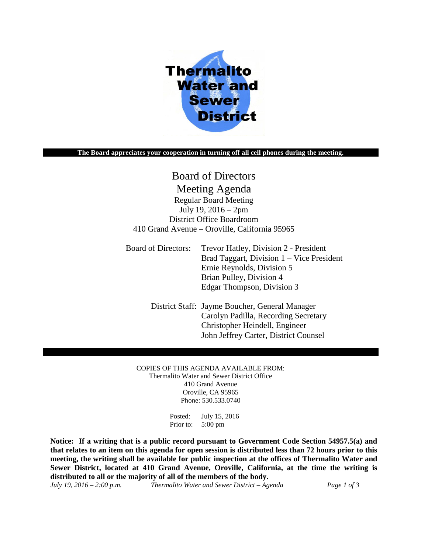

#### **The Board appreciates your cooperation in turning off all cell phones during the meeting.**

# Board of Directors Meeting Agenda Regular Board Meeting July 19, 2016 – 2pm District Office Boardroom 410 Grand Avenue – Oroville, California 95965

Board of Directors: Trevor Hatley, Division 2 - President Brad Taggart, Division 1 – Vice President Ernie Reynolds, Division 5 Brian Pulley, Division 4 Edgar Thompson, Division 3

> District Staff: Jayme Boucher, General Manager Carolyn Padilla, Recording Secretary Christopher Heindell, Engineer John Jeffrey Carter, District Counsel

COPIES OF THIS AGENDA AVAILABLE FROM: Thermalito Water and Sewer District Office 410 Grand Avenue Oroville, CA 95965 Phone: 530.533.0740

> Posted: July 15, 2016 Prior to: 5:00 pm

**Notice: If a writing that is a public record pursuant to Government Code Section 54957.5(a) and that relates to an item on this agenda for open session is distributed less than 72 hours prior to this meeting, the writing shall be available for public inspection at the offices of Thermalito Water and Sewer District, located at 410 Grand Avenue, Oroville, California, at the time the writing is distributed to all or the majority of all of the members of the body.**

| July 19, 2016 – 2:00 p.m.<br>Thermalito Water and Sewer District – Agenda | Page 1 of 3 |
|---------------------------------------------------------------------------|-------------|
|---------------------------------------------------------------------------|-------------|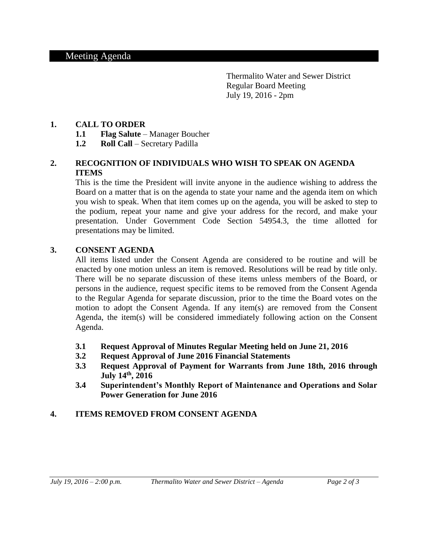Thermalito Water and Sewer District Regular Board Meeting July 19, 2016 - 2pm

### **1. CALL TO ORDER**

- **1.1 Flag Salute** Manager Boucher
- **1.2 Roll Call** Secretary Padilla

## **2. RECOGNITION OF INDIVIDUALS WHO WISH TO SPEAK ON AGENDA ITEMS**

This is the time the President will invite anyone in the audience wishing to address the Board on a matter that is on the agenda to state your name and the agenda item on which you wish to speak. When that item comes up on the agenda, you will be asked to step to the podium, repeat your name and give your address for the record, and make your presentation. Under Government Code Section 54954.3, the time allotted for presentations may be limited.

### **3. CONSENT AGENDA**

All items listed under the Consent Agenda are considered to be routine and will be enacted by one motion unless an item is removed. Resolutions will be read by title only. There will be no separate discussion of these items unless members of the Board, or persons in the audience, request specific items to be removed from the Consent Agenda to the Regular Agenda for separate discussion, prior to the time the Board votes on the motion to adopt the Consent Agenda. If any item(s) are removed from the Consent Agenda, the item(s) will be considered immediately following action on the Consent Agenda.

- **3.1 Request Approval of Minutes Regular Meeting held on June 21, 2016**
- **3.2 Request Approval of June 2016 Financial Statements**
- **3.3 Request Approval of Payment for Warrants from June 18th, 2016 through July 14 th, 2016**
- **3.4 Superintendent's Monthly Report of Maintenance and Operations and Solar Power Generation for June 2016**

### **4. ITEMS REMOVED FROM CONSENT AGENDA**